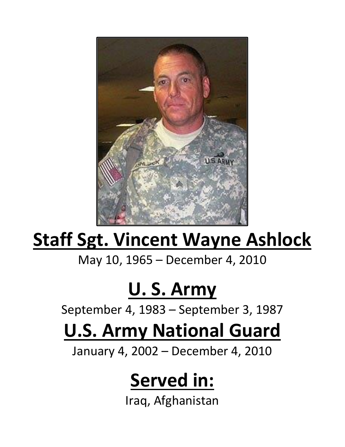

# **Staff Sgt. Vincent Wayne Ashlock**

May 10, 1965 – December 4, 2010

### **U. S. Army**

September 4, 1983 – September 3, 1987

# **U.S. Army National Guard**

January 4, 2002 – December 4, 2010

#### **Served in:**

Iraq, Afghanistan